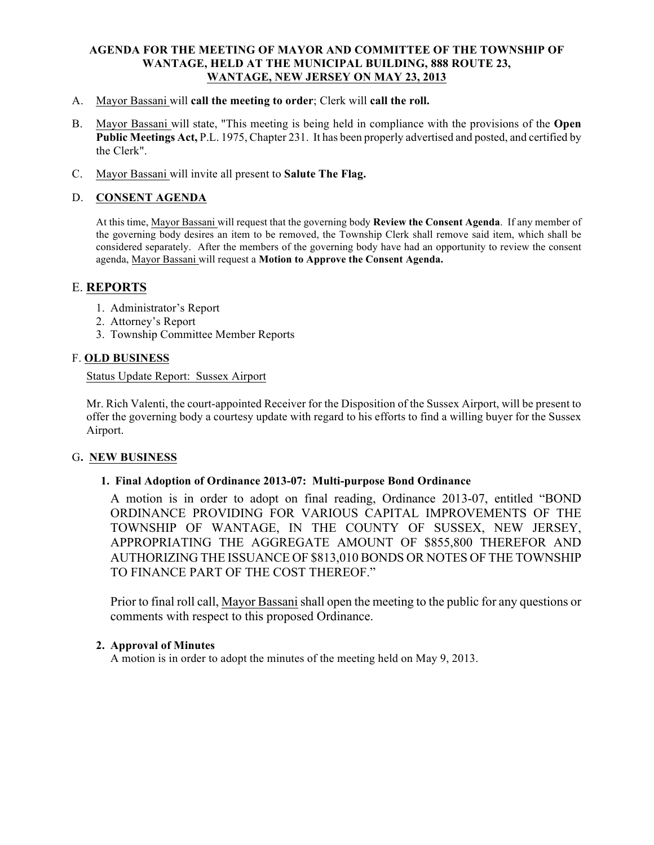#### AGENDA FOR THE MEETING OF MAYOR AND COMMITTEE OF THE TOWNSHIP OF WANTAGE, HELD AT THE MUNICIPAL BUILDING, 888 ROUTE 23, WANTAGE, NEW JERSEY ON MAY 23, 2013

- A. Mayor Bassani will call the meeting to order; Clerk will call the roll.
- B. Mayor Bassani will state, "This meeting is being held in compliance with the provisions of the Open Public Meetings Act, P.L. 1975, Chapter 231. It has been properly advertised and posted, and certified by the Clerk".
- C. Mayor Bassani will invite all present to Salute The Flag.

### D. CONSENT AGENDA

At this time, Mayor Bassani will request that the governing body Review the Consent Agenda. If any member of the governing body desires an item to be removed, the Township Clerk shall remove said item, which shall be considered separately. After the members of the governing body have had an opportunity to review the consent agenda, Mayor Bassani will request a Motion to Approve the Consent Agenda.

## E. REPORTS

- 1. Administrator's Report
- 2. Attorney's Report
- 3. Township Committee Member Reports

### F. OLD BUSINESS

### Status Update Report: Sussex Airport

Mr. Rich Valenti, the court-appointed Receiver for the Disposition of the Sussex Airport, will be present to offer the governing body a courtesy update with regard to his efforts to find a willing buyer for the Sussex Airport.

### G. NEW BUSINESS

### 1. Final Adoption of Ordinance 2013-07: Multi-purpose Bond Ordinance

A motion is in order to adopt on final reading, Ordinance 2013-07, entitled "BOND ORDINANCE PROVIDING FOR VARIOUS CAPITAL IMPROVEMENTS OF THE TOWNSHIP OF WANTAGE, IN THE COUNTY OF SUSSEX, NEW JERSEY, APPROPRIATING THE AGGREGATE AMOUNT OF \$855,800 THEREFOR AND AUTHORIZING THE ISSUANCE OF \$813,010 BONDS OR NOTES OF THE TOWNSHIP TO FINANCE PART OF THE COST THEREOF."

Prior to final roll call, Mayor Bassanishall open the meeting to the public for any questions or comments with respect to this proposed Ordinance.

### 2. Approval of Minutes

A motion is in order to adopt the minutes of the meeting held on May 9, 2013.